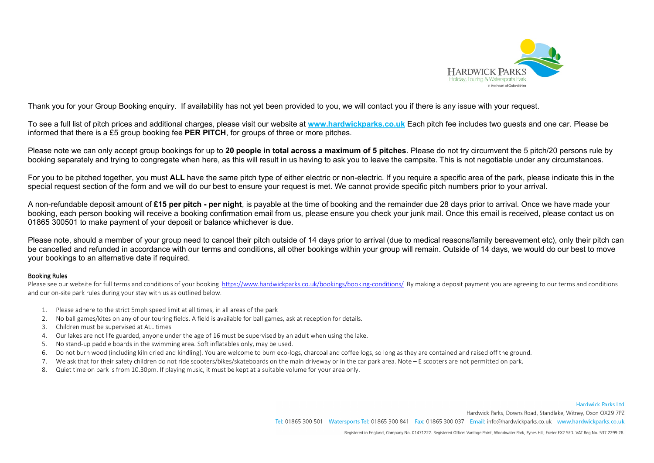

Thank you for your Group Booking enquiry. If availability has not yet been provided to you, we will contact you if there is any issue with your request.

To see a full list of pitch prices and additional charges, please visit our website at **[www.hardwickparks.co.uk](http://www.hardwickparks.co.uk/)** Each pitch fee includes two guests and one car. Please be informed that there is a £5 group booking fee **PER PITCH**, for groups of three or more pitches.

Please note we can only accept group bookings for up to **20 people in total across a maximum of 5 pitches**. Please do not try circumvent the 5 pitch/20 persons rule by booking separately and trying to congregate when here, as this will result in us having to ask you to leave the campsite. This is not negotiable under any circumstances.

For you to be pitched together, you must ALL have the same pitch type of either electric or non-electric. If you require a specific area of the park, please indicate this in the special request section of the form and we will do our best to ensure your request is met. We cannot provide specific pitch numbers prior to your arrival.

A non-refundable deposit amount of **£15 per pitch - per night**, is payable at the time of booking and the remainder due 28 days prior to arrival. Once we have made your booking, each person booking will receive a booking confirmation email from us, please ensure you check your junk mail. Once this email is received, please contact us on 01865 300501 to make payment of your deposit or balance whichever is due.

Please note, should a member of your group need to cancel their pitch outside of 14 days prior to arrival (due to medical reasons/family bereavement etc), only their pitch can be cancelled and refunded in accordance with our terms and conditions, all other bookings within your group will remain. Outside of 14 days, we would do our best to move your bookings to an alternative date if required.

## Booking Rules

Please see our website for full terms and conditions of your booking<https://www.hardwickparks.co.uk/bookings/booking-conditions/>By making a deposit payment you are agreeing to our terms and conditions and our on-site park rules during your stay with us as outlined below.

- 1. Please adhere to the strict 5mph speed limit at all times, in all areas of the park
- 2. No ball games/kites on any of our touring fields. A field is available for ball games, ask at reception for details.
- 3. Children must be supervised at ALL times
- 4. Our lakes are not life guarded, anyone under the age of 16 must be supervised by an adult when using the lake.
- 5. No stand-up paddle boards in the swimming area. Soft inflatables only, may be used.
- 6. Do not burn wood (including kiln dried and kindling). You are welcome to burn eco-logs, charcoal and coffee logs, so long as they are contained and raised off the ground.
- 7. We ask that for their safety children do not ride scooters/bikes/skateboards on the main driveway or in the car park area. Note E scooters are not permitted on park.
- 8. Quiet time on park is from 10.30pm. If playing music, it must be kept at a suitable volume for your area only.

Hardwick Parks Ltd Hardwick Parks, Downs Road, Standlake, Witney, Oxon OX29 7PZ Tel: 01865 300 501 Watersports Tel: 01865 300 841 Fax: 01865 300 037 Email: info@hardwickparks.co.uk www.hardwickparks.co.uk

Registered in England, Company No. 01471222. Registered Office: Vantage Point, Woodwater Park, Pynes Hill, Exeter EX2 5FD. VAT Reg No. 537 2299 28.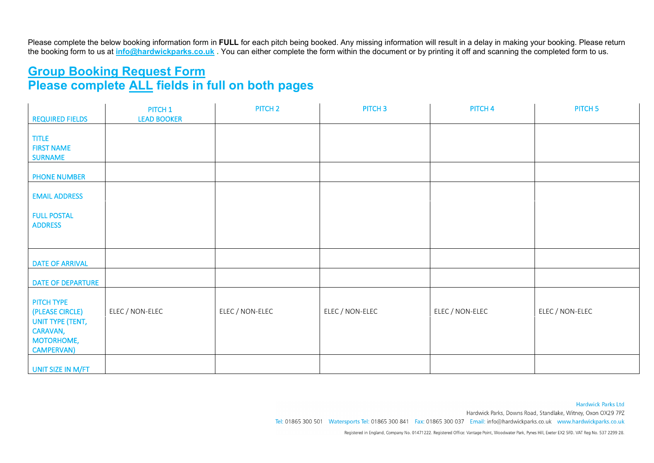Please complete the below booking information form in **FULL** for each pitch being booked. Any missing information will result in a delay in making your booking. Please return the booking form to us at **[info@hardwickparks.co.uk](mailto:info@hardwickparks.co.uk) .** You can either complete the form within the document or by printing it off and scanning the completed form to us.

## **Group Booking Request Form Please complete ALL fields in full on both pages**

|                              | PITCH <sub>1</sub> | PITCH <sub>2</sub> | PITCH <sub>3</sub> | PITCH <sub>4</sub> | PITCH <sub>5</sub> |
|------------------------------|--------------------|--------------------|--------------------|--------------------|--------------------|
| <b>REQUIRED FIELDS</b>       | <b>LEAD BOOKER</b> |                    |                    |                    |                    |
|                              |                    |                    |                    |                    |                    |
| <b>TITLE</b>                 |                    |                    |                    |                    |                    |
| <b>FIRST NAME</b>            |                    |                    |                    |                    |                    |
| <b>SURNAME</b>               |                    |                    |                    |                    |                    |
| <b>PHONE NUMBER</b>          |                    |                    |                    |                    |                    |
| <b>EMAIL ADDRESS</b>         |                    |                    |                    |                    |                    |
|                              |                    |                    |                    |                    |                    |
| <b>FULL POSTAL</b>           |                    |                    |                    |                    |                    |
| <b>ADDRESS</b>               |                    |                    |                    |                    |                    |
|                              |                    |                    |                    |                    |                    |
|                              |                    |                    |                    |                    |                    |
|                              |                    |                    |                    |                    |                    |
| <b>DATE OF ARRIVAL</b>       |                    |                    |                    |                    |                    |
|                              |                    |                    |                    |                    |                    |
| <b>DATE OF DEPARTURE</b>     |                    |                    |                    |                    |                    |
|                              |                    |                    |                    |                    |                    |
| PITCH TYPE                   |                    |                    |                    |                    |                    |
| (PLEASE CIRCLE)              | ELEC / NON-ELEC    | ELEC / NON-ELEC    | ELEC / NON-ELEC    | ELEC / NON-ELEC    | ELEC / NON-ELEC    |
| UNIT TYPE (TENT,<br>CARAVAN, |                    |                    |                    |                    |                    |
| MOTORHOME,                   |                    |                    |                    |                    |                    |
| <b>CAMPERVAN)</b>            |                    |                    |                    |                    |                    |
|                              |                    |                    |                    |                    |                    |
| UNIT SIZE IN M/FT            |                    |                    |                    |                    |                    |

**Hardwick Parks Ltd** 

Hardwick Parks, Downs Road, Standlake, Witney, Oxon OX29 7PZ

Tel: 01865 300 501 Watersports Tel: 01865 300 841 Fax: 01865 300 037 Email: info@hardwickparks.co.uk www.hardwickparks.co.uk

Registered in England, Company No. 01471222. Registered Office: Vantage Point, Woodwater Park, Pynes Hill, Exeter EX2 5FD. VAT Reg No. 537 2299 28.